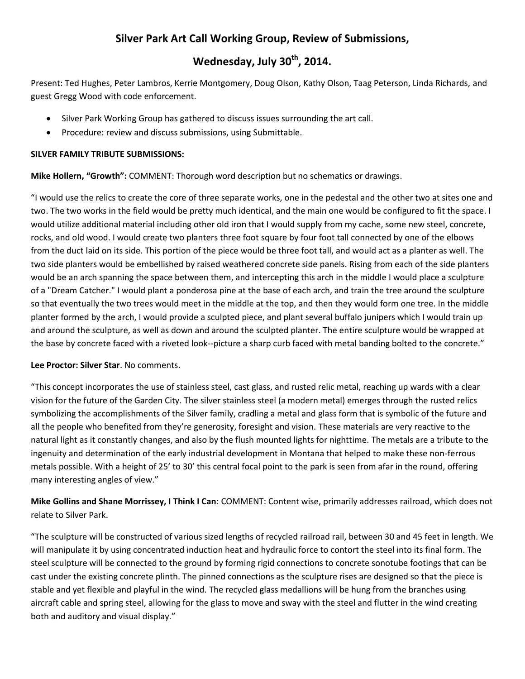# **Silver Park Art Call Working Group, Review of Submissions,**

# **Wednesday, July 30th, 2014.**

Present: Ted Hughes, Peter Lambros, Kerrie Montgomery, Doug Olson, Kathy Olson, Taag Peterson, Linda Richards, and guest Gregg Wood with code enforcement.

- Silver Park Working Group has gathered to discuss issues surrounding the art call.
- Procedure: review and discuss submissions, using Submittable.

#### **SILVER FAMILY TRIBUTE SUBMISSIONS:**

**Mike Hollern, "Growth":** COMMENT: Thorough word description but no schematics or drawings.

"I would use the relics to create the core of three separate works, one in the pedestal and the other two at sites one and two. The two works in the field would be pretty much identical, and the main one would be configured to fit the space. I would utilize additional material including other old iron that I would supply from my cache, some new steel, concrete, rocks, and old wood. I would create two planters three foot square by four foot tall connected by one of the elbows from the duct laid on its side. This portion of the piece would be three foot tall, and would act as a planter as well. The two side planters would be embellished by raised weathered concrete side panels. Rising from each of the side planters would be an arch spanning the space between them, and intercepting this arch in the middle I would place a sculpture of a "Dream Catcher." I would plant a ponderosa pine at the base of each arch, and train the tree around the sculpture so that eventually the two trees would meet in the middle at the top, and then they would form one tree. In the middle planter formed by the arch, I would provide a sculpted piece, and plant several buffalo junipers which I would train up and around the sculpture, as well as down and around the sculpted planter. The entire sculpture would be wrapped at the base by concrete faced with a riveted look--picture a sharp curb faced with metal banding bolted to the concrete."

## **Lee Proctor: Silver Star**. No comments.

"This concept incorporates the use of stainless steel, cast glass, and rusted relic metal, reaching up wards with a clear vision for the future of the Garden City. The silver stainless steel (a modern metal) emerges through the rusted relics symbolizing the accomplishments of the Silver family, cradling a metal and glass form that is symbolic of the future and all the people who benefited from they're generosity, foresight and vision. These materials are very reactive to the natural light as it constantly changes, and also by the flush mounted lights for nighttime. The metals are a tribute to the ingenuity and determination of the early industrial development in Montana that helped to make these non-ferrous metals possible. With a height of 25' to 30' this central focal point to the park is seen from afar in the round, offering many interesting angles of view."

**Mike Gollins and Shane Morrissey, I Think I Can**: COMMENT: Content wise, primarily addresses railroad, which does not relate to Silver Park.

"The sculpture will be constructed of various sized lengths of recycled railroad rail, between 30 and 45 feet in length. We will manipulate it by using concentrated induction heat and hydraulic force to contort the steel into its final form. The steel sculpture will be connected to the ground by forming rigid connections to concrete sonotube footings that can be cast under the existing concrete plinth. The pinned connections as the sculpture rises are designed so that the piece is stable and yet flexible and playful in the wind. The recycled glass medallions will be hung from the branches using aircraft cable and spring steel, allowing for the glass to move and sway with the steel and flutter in the wind creating both and auditory and visual display."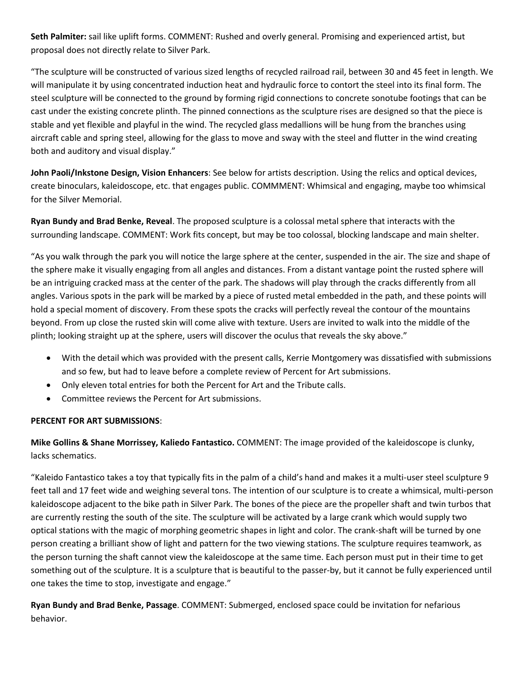**Seth Palmiter:** sail like uplift forms. COMMENT: Rushed and overly general. Promising and experienced artist, but proposal does not directly relate to Silver Park.

"The sculpture will be constructed of various sized lengths of recycled railroad rail, between 30 and 45 feet in length. We will manipulate it by using concentrated induction heat and hydraulic force to contort the steel into its final form. The steel sculpture will be connected to the ground by forming rigid connections to concrete sonotube footings that can be cast under the existing concrete plinth. The pinned connections as the sculpture rises are designed so that the piece is stable and yet flexible and playful in the wind. The recycled glass medallions will be hung from the branches using aircraft cable and spring steel, allowing for the glass to move and sway with the steel and flutter in the wind creating both and auditory and visual display."

**John Paoli/Inkstone Design, Vision Enhancers**: See below for artists description. Using the relics and optical devices, create binoculars, kaleidoscope, etc. that engages public. COMMMENT: Whimsical and engaging, maybe too whimsical for the Silver Memorial.

**Ryan Bundy and Brad Benke, Reveal**. The proposed sculpture is a colossal metal sphere that interacts with the surrounding landscape. COMMENT: Work fits concept, but may be too colossal, blocking landscape and main shelter.

"As you walk through the park you will notice the large sphere at the center, suspended in the air. The size and shape of the sphere make it visually engaging from all angles and distances. From a distant vantage point the rusted sphere will be an intriguing cracked mass at the center of the park. The shadows will play through the cracks differently from all angles. Various spots in the park will be marked by a piece of rusted metal embedded in the path, and these points will hold a special moment of discovery. From these spots the cracks will perfectly reveal the contour of the mountains beyond. From up close the rusted skin will come alive with texture. Users are invited to walk into the middle of the plinth; looking straight up at the sphere, users will discover the oculus that reveals the sky above."

- With the detail which was provided with the present calls, Kerrie Montgomery was dissatisfied with submissions and so few, but had to leave before a complete review of Percent for Art submissions.
- Only eleven total entries for both the Percent for Art and the Tribute calls.
- Committee reviews the Percent for Art submissions.

## **PERCENT FOR ART SUBMISSIONS**:

**Mike Gollins & Shane Morrissey, Kaliedo Fantastico.** COMMENT: The image provided of the kaleidoscope is clunky, lacks schematics.

"Kaleido Fantastico takes a toy that typically fits in the palm of a child's hand and makes it a multi-user steel sculpture 9 feet tall and 17 feet wide and weighing several tons. The intention of our sculpture is to create a whimsical, multi-person kaleidoscope adjacent to the bike path in Silver Park. The bones of the piece are the propeller shaft and twin turbos that are currently resting the south of the site. The sculpture will be activated by a large crank which would supply two optical stations with the magic of morphing geometric shapes in light and color. The crank-shaft will be turned by one person creating a brilliant show of light and pattern for the two viewing stations. The sculpture requires teamwork, as the person turning the shaft cannot view the kaleidoscope at the same time. Each person must put in their time to get something out of the sculpture. It is a sculpture that is beautiful to the passer-by, but it cannot be fully experienced until one takes the time to stop, investigate and engage."

**Ryan Bundy and Brad Benke, Passage**. COMMENT: Submerged, enclosed space could be invitation for nefarious behavior.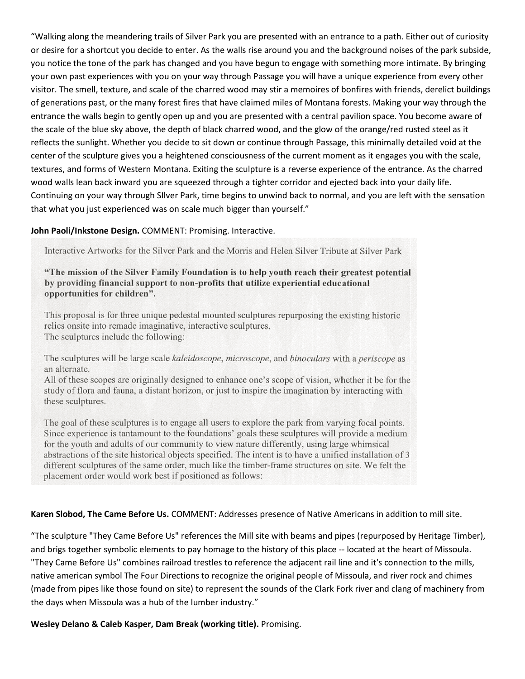"Walking along the meandering trails of Silver Park you are presented with an entrance to a path. Either out of curiosity or desire for a shortcut you decide to enter. As the walls rise around you and the background noises of the park subside, you notice the tone of the park has changed and you have begun to engage with something more intimate. By bringing your own past experiences with you on your way through Passage you will have a unique experience from every other visitor. The smell, texture, and scale of the charred wood may stir a memoires of bonfires with friends, derelict buildings of generations past, or the many forest fires that have claimed miles of Montana forests. Making your way through the entrance the walls begin to gently open up and you are presented with a central pavilion space. You become aware of the scale of the blue sky above, the depth of black charred wood, and the glow of the orange/red rusted steel as it reflects the sunlight. Whether you decide to sit down or continue through Passage, this minimally detailed void at the center of the sculpture gives you a heightened consciousness of the current moment as it engages you with the scale, textures, and forms of Western Montana. Exiting the sculpture is a reverse experience of the entrance. As the charred wood walls lean back inward you are squeezed through a tighter corridor and ejected back into your daily life. Continuing on your way through SIlver Park, time begins to unwind back to normal, and you are left with the sensation that what you just experienced was on scale much bigger than yourself."

#### **John Paoli/Inkstone Design.** COMMENT: Promising. Interactive.

Interactive Artworks for the Silver Park and the Morris and Helen Silver Tribute at Silver Park

"The mission of the Silver Family Foundation is to help youth reach their greatest potential by providing financial support to non-profits that utilize experiential educational opportunities for children".

This proposal is for three unique pedestal mounted sculptures repurposing the existing historic relics onsite into remade imaginative, interactive sculptures. The sculptures include the following:

The sculptures will be large scale kaleidoscope, microscope, and binoculars with a periscope as an alternate.

All of these scopes are originally designed to enhance one's scope of vision, whether it be for the study of flora and fauna, a distant horizon, or just to inspire the imagination by interacting with these sculptures.

The goal of these sculptures is to engage all users to explore the park from varying focal points. Since experience is tantamount to the foundations' goals these sculptures will provide a medium for the youth and adults of our community to view nature differently, using large whimsical abstractions of the site historical objects specified. The intent is to have a unified installation of 3 different sculptures of the same order, much like the timber-frame structures on site. We felt the placement order would work best if positioned as follows:

#### **Karen Slobod, The Came Before Us.** COMMENT: Addresses presence of Native Americans in addition to mill site.

"The sculpture "They Came Before Us" references the Mill site with beams and pipes (repurposed by Heritage Timber), and brigs together symbolic elements to pay homage to the history of this place -- located at the heart of Missoula. "They Came Before Us" combines railroad trestles to reference the adjacent rail line and it's connection to the mills, native american symbol The Four Directions to recognize the original people of Missoula, and river rock and chimes (made from pipes like those found on site) to represent the sounds of the Clark Fork river and clang of machinery from the days when Missoula was a hub of the lumber industry."

**Wesley Delano & Caleb Kasper, Dam Break (working title).** Promising.